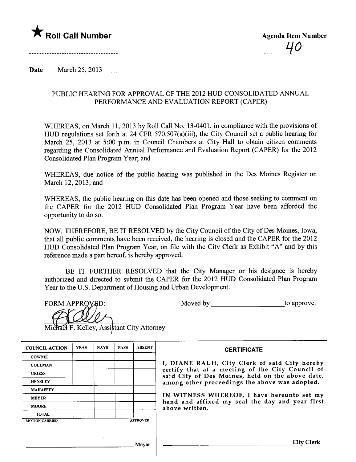

Date ........ March 25, 2013..........

# PUBLIC HEARING FOR APPROVAL OF THE 2012 HUD CONSOLIDATED ANNUAL PERFORMANCE AND EVALUATION REPORT (CAPER)

WHEREAS, on March 11, 2013 by Roll Call No. 13-0401, in compliance with the provisions of HUD regulations set forth at 24 CFR 570.507(a)(iii), the City Council set a public hearing for March 25, 2013 at 5:00 p.m. in Council Chambers at City Hall to obtain citizen comments regarding the Consolidated Anual Performance and Evaluation Report (CAPER) for the 2012 Consolidated Plan Program Year; and

WHEREAS, due notice of the public hearing was published in the Des Moines Register on March 12,2013; and

WHEREAS, the public hearing on this date has been opened and those seeking to comment on the CAPER for the 2012 HUD Consolidated Plan Program Year have been afforded the opportnity to do so.

NOW, THEREFORE, BE IT RESOLVED by the City Council of the City of Des Moines, Iowa, that all public comments have been received, the hearing is closed and the CAPER for the 2012 HUD Consolidated Plan Program Year, on file with the City Clerk as Exhibit "A" and by this reference made a part hereof, is hereby approved.

BE IT FURTHER RESOLVED that the City Manager or his designee is hereby authorized and directed to submit the CAPER for the 2012 HUD Consolidated Plan Program Year to the U.S. Deparment of Housing and Urban Development.

**FORM APPROVED:** 

Moved by to approve.

Michael F. Kelley, Assistant City Attorney

| <b>COUNCIL ACTION</b> | <b>YEAS</b> | <b>NAYS</b> | <b>PASS</b> | <b>ABSENT</b>   |                     |
|-----------------------|-------------|-------------|-------------|-----------------|---------------------|
| <b>COWNIE</b>         |             |             |             |                 |                     |
| <b>COLEMAN</b>        |             |             |             |                 | I, DIAN             |
| <b>GRIESS</b>         |             |             |             |                 | certify<br>said Cit |
| <b>HENSLEY</b>        |             |             |             |                 | among o             |
| <b>MAHAFFEY</b>       |             |             |             |                 |                     |
| <b>MEYER</b>          |             |             |             |                 | IN WIT              |
| <b>MOORE</b>          |             |             |             |                 | hand ar<br>above w  |
| <b>TOTAL</b>          |             |             |             |                 |                     |
| <b>MOTION CARRIED</b> |             |             |             | <b>APPROVED</b> |                     |

#### **CERTIFICATE**

E RAUH, City Clerk of said City hereby that at a meeting of the City Council of y of Des Moines, held on the above date, other proceedings the above was adopted.

NESS WHEREOF, I have hereunto set my id affixed my seal the day and year first ritten.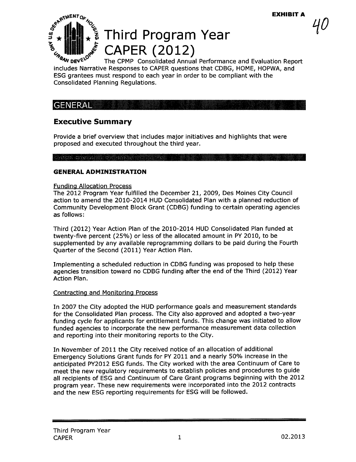$40\,$ 



# $\begin{bmatrix} \frac{d}{2} \\ \frac{1}{2} \\ \frac{1}{2} \end{bmatrix}$   $\star$   $\begin{bmatrix} \frac{1}{2} \\ \frac{1}{2} \\ \frac{1}{2} \end{bmatrix}$   $\star$   $\begin{bmatrix} \frac{1}{2} \\ \frac{1}{2} \\ \frac{1}{2} \end{bmatrix}$   $\star$  CAPER (2012)

The CPMP Consolidated Annual Performance and Evaluation Report includes Narrative Responses to CAPER questions that CDBG, HOME, HOPWA, and ESG grantees must respond to each year in order to be compliant with the Consolidated Planning Regulations.

# **GENERAL**

# Executive Summary

Provide a brief overview that includes major initiatives and highlights that were proposed and executed throughout the third year.

# OARE CARACTERER REELER

# GENERAL ADMINISTRATION

#### Fundina Allocation Process

The 2012 Program Year fulfilled the December 21, 2009, Des Moines City Council action to amend the 2010-2014 HUD Consolidated Plan with a planned reduction of Community Development Block Grant (CDBG) funding to certain operating agencies as follows:

Third (2012) Year Action Plan of the 2010-2014 HUD Consolidated Plan funded at twenty-five percent (25%) or less of the allocated amount in PY 2010, to be supplemented by any available reprogramming dollars to be paid during the Fourth Quarter of the Second (2011) Year Action Plan.

Implementing a scheduled reduction in CDBG funding was proposed to help these agencies transition toward no CDBG funding after the end of the Third (2012) Year Action Plan.

# Contracting and Monitoring Process

In 2007 the City adopted the HUD performance goals and measurement standards for the Consolidated Plan process. The City also approved and adopted a two-year funding cycle for applicants for entitlement funds. This change was initiated to allow funded agencies to incorporate the new performance measurement data collection and reporting into their monitoring reports to the City.

In November of 2011 the City received notice of an allocation of additional Emergency Solutions Grant funds for PY 2011 and a nearly 50% increase in the anticipated PY2012 ESG funds. The City worked with the area Continuum of Care to meet the new regulatory requirements to establish policies and procedures to guide all recipients of ESG and Continuum of Care Grant programs beginning with the 2012 program year. These new requirements were incorporated into the 2012 contracts and the new ESG reporting requirements for ESG will be followed.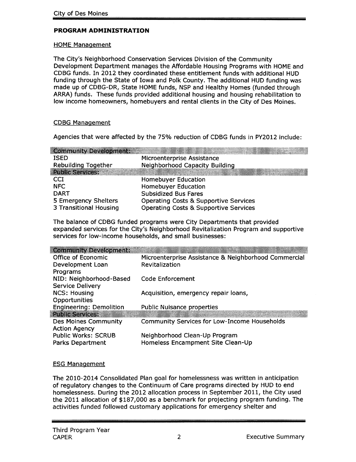# PROGRAM ADMINISTRATION

### HOME Management

The City's Neighborhood Conservation Services Division of the Community Development Department manages the Affordable Housing Programs with HOME and CDBG funds. In 2012 they coordinated these entitlement funds with additional HUD funding through the State of Iowa and Polk County. The additional HUD funding was made up of CDBG-DR, State HOME funds, NSP and Healthy Homes (funded through ARRA) funds. These funds provided additional housing and housing rehabilitation to low income homeowners, homebuyers and rental clients in the City of Des Moines.

# CDBG Manaaement

Agencies that were affected by the 75% reduction of CDBG funds in PY2012 include:

| Microenterprise Assistance                       |
|--------------------------------------------------|
| <b>Neighborhood Capacity Building</b>            |
|                                                  |
| <b>Homebuyer Education</b>                       |
| <b>Homebuyer Education</b>                       |
| <b>Subsidized Bus Fares</b>                      |
| <b>Operating Costs &amp; Supportive Services</b> |
| <b>Operating Costs &amp; Supportive Services</b> |
|                                                  |

The balance of CDBG funded programs were City Departments that provided expanded services for the City's Neighborhood Revitalization Program and supportive services for low-income households, and small businesses:

| <b>Community Development:</b>  |                                                      |
|--------------------------------|------------------------------------------------------|
| Office of Economic             | Microenterprise Assistance & Neighborhood Commercial |
| Development Loan               | Revitalization                                       |
| Programs                       |                                                      |
| NID: Neighborhood-Based        | Code Enforcement                                     |
| <b>Service Delivery</b>        |                                                      |
| <b>NCS: Housing</b>            | Acquisition, emergency repair loans,                 |
| Opportunities                  |                                                      |
| <b>Engineering: Demolition</b> | <b>Public Nuisance properties</b>                    |
| <b>Public Services:</b>        |                                                      |
| Des Moines Community           | <b>Community Services for Low-Income Households</b>  |
| <b>Action Agency</b>           |                                                      |
| <b>Public Works: SCRUB</b>     | Neighborhood Clean-Up Program                        |
| Parks Department               | Homeless Encampment Site Clean-Up                    |

# ESG Management

The 2010-2014 Consolidated Plan goal for homelessness was written in anticipation of regulatory changes to the Continuum of Care programs directed by HUD to end homelessness. During the 2012 allocation process in September 2011, the City used the 2011 allocation of \$187,000 as a benchmark for projecting program funding. The activities funded followed customary applications for emergency shelter and